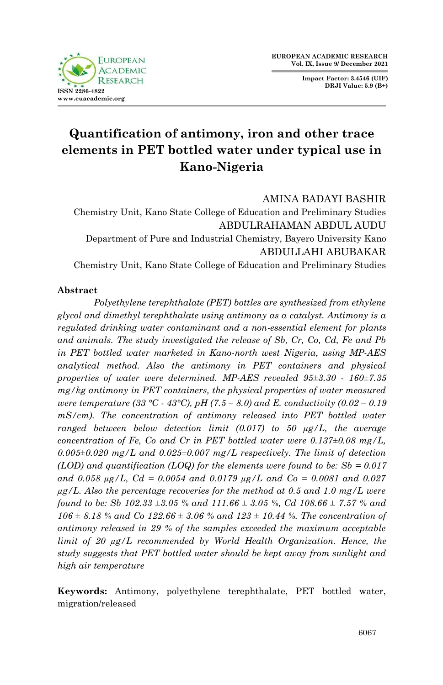

**Impact Factor: 3.4546 (UIF) DRJI Value: 5.9 (B+)**

# **Quantification of antimony, iron and other trace elements in PET bottled water under typical use in Kano-Nigeria**

AMINA BADAYI BASHIR

Chemistry Unit, Kano State College of Education and Preliminary Studies ABDULRAHAMAN ABDUL AUDU Department of Pure and Industrial Chemistry, Bayero University Kano ABDULLAHI ABUBAKAR Chemistry Unit, Kano State College of Education and Preliminary Studies

# **Abstract**

*Polyethylene terephthalate (PET) bottles are synthesized from ethylene glycol and dimethyl terephthalate using antimony as a catalyst. Antimony is a regulated drinking water contaminant and a non-essential element for plants and animals. The study investigated the release of Sb, Cr, Co, Cd, Fe and Pb in PET bottled water marketed in Kano-north west Nigeria, using MP-AES analytical method. Also the antimony in PET containers and physical properties of water were determined. MP-AES revealed 95±3.30 - 160±7.35 mg/kg antimony in PET containers, the physical properties of water measured were temperature (33 °C - 43°C), pH (7.5 – 8.0) and E. conductivity (0.02 – 0.19 mS/cm). The concentration of antimony released into PET bottled water ranged between below detection limit (0.017) to 50 µg/L, the average concentration of Fe, Co and Cr in PET bottled water were 0.137±0.08 mg/L, 0.005±0.020 mg/L and 0.025±0.007 mg/L respectively. The limit of detection (LOD) and quantification (LOQ) for the elements were found to be: Sb = 0.017 and 0.058 µg/L, Cd = 0.0054 and 0.0179 µg/L and Co = 0.0081 and 0.027 µg/L. Also the percentage recoveries for the method at 0.5 and 1.0 mg/L were found to be: Sb 102.33 ±3.05 % and 111.66 ± 3.05 %, Cd 108.66 ± 7.57 % and 106 ± 8.18 % and Co 122.66 ± 3.06 % and 123 ± 10.44 %. The concentration of antimony released in 29 % of the samples exceeded the maximum acceptable limit of 20 µg/L recommended by World Health Organization. Hence, the study suggests that PET bottled water should be kept away from sunlight and high air temperature*

**Keywords:** Antimony, polyethylene terephthalate, PET bottled water, migration/released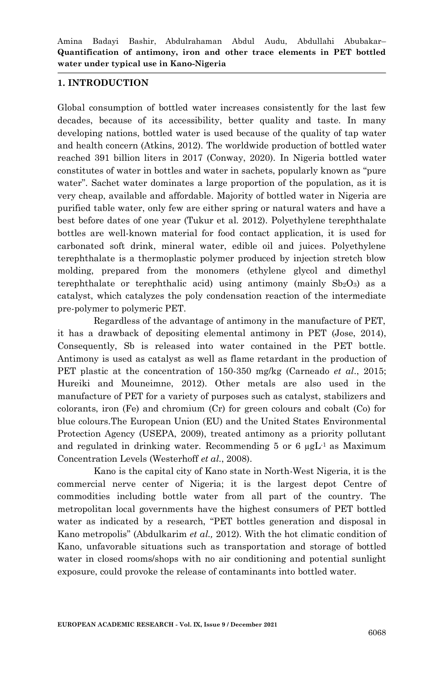#### **1. INTRODUCTION**

Global consumption of bottled water increases consistently for the last few decades, because of its accessibility, better quality and taste. In many developing nations, bottled water is used because of the quality of tap water and health concern (Atkins, 2012). The worldwide production of bottled water reached 391 billion liters in 2017 (Conway, 2020). In Nigeria bottled water constitutes of water in bottles and water in sachets, popularly known as "pure water". Sachet water dominates a large proportion of the population, as it is very cheap, available and affordable. Majority of bottled water in Nigeria are purified table water, only few are either spring or natural waters and have a best before dates of one year (Tukur et al. 2012). Polyethylene terephthalate bottles are well-known material for food contact application, it is used for carbonated soft drink, mineral water, edible oil and juices. Polyethylene terephthalate is a thermoplastic polymer produced by injection stretch blow molding, prepared from the monomers (ethylene glycol and dimethyl terephthalate or terephthalic acid) using antimony (mainly  $Sb<sub>2</sub>O<sub>3</sub>$ ) as a catalyst, which catalyzes the poly condensation reaction of the intermediate pre-polymer to polymeric PET.

Regardless of the advantage of antimony in the manufacture of PET, it has a drawback of depositing elemental antimony in PET (Jose, 2014), Consequently, Sb is released into water contained in the PET bottle. Antimony is used as catalyst as well as flame retardant in the production of PET plastic at the concentration of 150-350 mg/kg (Carneado *et al*., 2015; Hureiki and Mouneimne, 2012). Other metals are also used in the manufacture of PET for a variety of purposes such as catalyst, stabilizers and colorants, iron (Fe) and chromium (Cr) for green colours and cobalt (Co) for blue colours.The European Union (EU) and the United States Environmental Protection Agency (USEPA, 2009), treated antimony as a priority pollutant and regulated in drinking water. Recommending 5 or 6  $\mu g L^{-1}$  as Maximum Concentration Levels (Westerhoff *et al*., 2008).

Kano is the capital city of Kano state in North-West Nigeria, it is the commercial nerve center of Nigeria; it is the largest depot Centre of commodities including bottle water from all part of the country. The metropolitan local governments have the highest consumers of PET bottled water as indicated by a research, "PET bottles generation and disposal in Kano metropolis" (Abdulkarim *et al.,* 2012). With the hot climatic condition of Kano, unfavorable situations such as transportation and storage of bottled water in closed rooms/shops with no air conditioning and potential sunlight exposure, could provoke the release of contaminants into bottled water.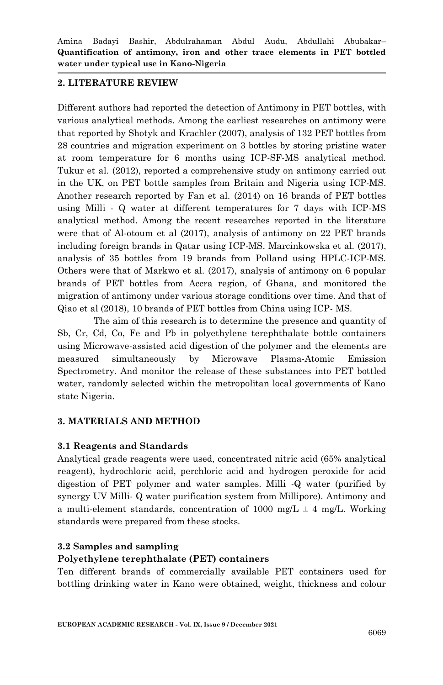# **2. LITERATURE REVIEW**

Different authors had reported the detection of Antimony in PET bottles, with various analytical methods. Among the earliest researches on antimony were that reported by Shotyk and Krachler (2007), analysis of 132 PET bottles from 28 countries and migration experiment on 3 bottles by storing pristine water at room temperature for 6 months using ICP-SF-MS analytical method. Tukur et al. (2012), reported a comprehensive study on antimony carried out in the UK, on PET bottle samples from Britain and Nigeria using ICP-MS. Another research reported by Fan et al*.* (2014) on 16 brands of PET bottles using Milli - Q water at different temperatures for 7 days with ICP-MS analytical method. Among the recent researches reported in the literature were that of Al-otoum et al (2017), analysis of antimony on 22 PET brands including foreign brands in Qatar using ICP-MS. Marcinkowska et al. (2017), analysis of 35 bottles from 19 brands from Polland using HPLC-ICP-MS. Others were that of Markwo et al*.* (2017), analysis of antimony on 6 popular brands of PET bottles from Accra region, of Ghana, and monitored the migration of antimony under various storage conditions over time. And that of Qiao et al (2018), 10 brands of PET bottles from China using ICP- MS.

The aim of this research is to determine the presence and quantity of Sb, Cr, Cd, Co, Fe and Pb in polyethylene terephthalate bottle containers using Microwave-assisted acid digestion of the polymer and the elements are measured simultaneously by Microwave Plasma-Atomic Emission Spectrometry. And monitor the release of these substances into PET bottled water, randomly selected within the metropolitan local governments of Kano state Nigeria.

# **3. MATERIALS AND METHOD**

# **3.1 Reagents and Standards**

Analytical grade reagents were used, concentrated nitric acid (65% analytical reagent), hydrochloric acid, perchloric acid and hydrogen peroxide for acid digestion of PET polymer and water samples. Milli -Q water (purified by synergy UV Milli- Q water purification system from Millipore). Antimony and a multi-element standards, concentration of 1000 mg/L  $\pm$  4 mg/L. Working standards were prepared from these stocks.

## **3.2 Samples and sampling**

# **Polyethylene terephthalate (PET) containers**

Ten different brands of commercially available PET containers used for bottling drinking water in Kano were obtained, weight, thickness and colour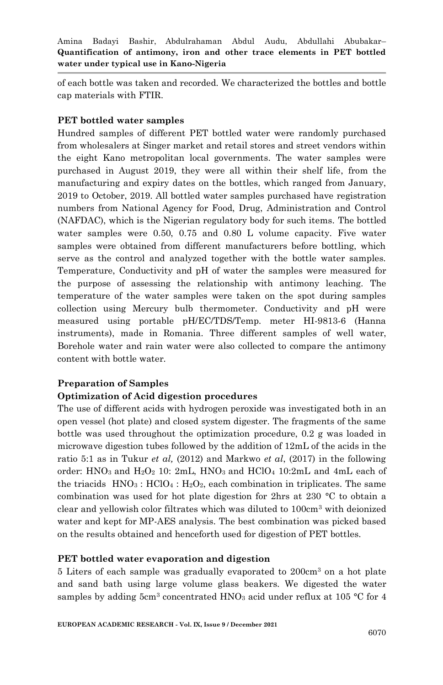of each bottle was taken and recorded. We characterized the bottles and bottle cap materials with FTIR.

# **PET bottled water samples**

Hundred samples of different PET bottled water were randomly purchased from wholesalers at Singer market and retail stores and street vendors within the eight Kano metropolitan local governments. The water samples were purchased in August 2019, they were all within their shelf life, from the manufacturing and expiry dates on the bottles, which ranged from January, 2019 to October, 2019. All bottled water samples purchased have registration numbers from National Agency for Food, Drug, Administration and Control (NAFDAC), which is the Nigerian regulatory body for such items. The bottled water samples were 0.50, 0.75 and 0.80 L volume capacity. Five water samples were obtained from different manufacturers before bottling, which serve as the control and analyzed together with the bottle water samples. Temperature, Conductivity and pH of water the samples were measured for the purpose of assessing the relationship with antimony leaching. The temperature of the water samples were taken on the spot during samples collection using Mercury bulb thermometer. Conductivity and pH were measured using portable pH/EC/TDS/Temp. meter HI-9813-6 (Hanna instruments), made in Romania. Three different samples of well water, Borehole water and rain water were also collected to compare the antimony content with bottle water.

# **Preparation of Samples Optimization of Acid digestion procedures**

The use of different acids with hydrogen peroxide was investigated both in an open vessel (hot plate) and closed system digester. The fragments of the same bottle was used throughout the optimization procedure, 0.2 g was loaded in microwave digestion tubes followed by the addition of 12mL of the acids in the ratio 5:1 as in Tukur *et al,* (2012) and Markwo *et al*, (2017) in the following order: HNO<sub>3</sub> and H<sub>2</sub>O<sub>2</sub> 10: 2mL, HNO<sub>3</sub> and HClO<sub>4</sub> 10:2mL and 4mL each of the triacids  $HNO<sub>3</sub>$ :  $HClO<sub>4</sub>$ :  $H<sub>2</sub>O<sub>2</sub>$ , each combination in triplicates. The same combination was used for hot plate digestion for 2hrs at 230 °C to obtain a clear and yellowish color filtrates which was diluted to 100cm<sup>3</sup> with deionized water and kept for MP-AES analysis. The best combination was picked based on the results obtained and henceforth used for digestion of PET bottles.

## **PET bottled water evaporation and digestion**

5 Liters of each sample was gradually evaporated to 200cm<sup>3</sup> on a hot plate and sand bath using large volume glass beakers. We digested the water samples by adding 5cm<sup>3</sup> concentrated HNO<sub>3</sub> acid under reflux at 105 °C for 4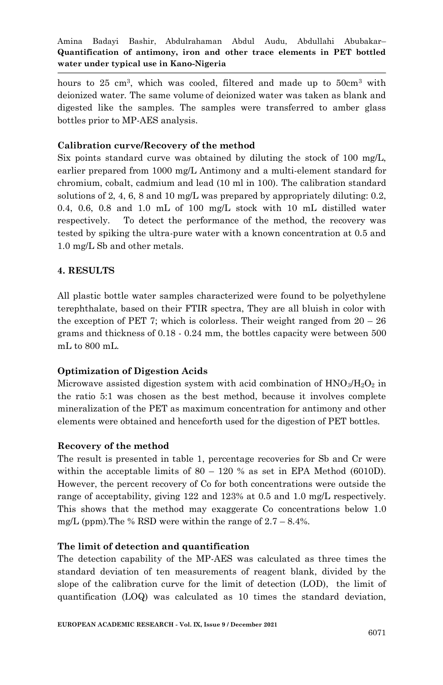hours to 25 cm<sup>3</sup>, which was cooled, filtered and made up to 50cm<sup>3</sup> with deionized water. The same volume of deionized water was taken as blank and digested like the samples. The samples were transferred to amber glass bottles prior to MP-AES analysis.

# **Calibration curve/Recovery of the method**

Six points standard curve was obtained by diluting the stock of 100 mg/L, earlier prepared from 1000 mg/L Antimony and a multi-element standard for chromium, cobalt, cadmium and lead (10 ml in 100). The calibration standard solutions of 2, 4, 6, 8 and 10 mg/L was prepared by appropriately diluting: 0.2, 0.4, 0.6, 0.8 and 1.0 mL of 100 mg/L stock with 10 mL distilled water respectively. To detect the performance of the method, the recovery was tested by spiking the ultra-pure water with a known concentration at 0.5 and 1.0 mg/L Sb and other metals.

# **4. RESULTS**

All plastic bottle water samples characterized were found to be polyethylene terephthalate, based on their FTIR spectra, They are all bluish in color with the exception of PET 7; which is colorless. Their weight ranged from  $20 - 26$ grams and thickness of 0.18 - 0.24 mm, the bottles capacity were between 500 mL to 800 mL.

## **Optimization of Digestion Acids**

Microwave assisted digestion system with acid combination of  $HNO<sub>3</sub>/H<sub>2</sub>O<sub>2</sub>$  in the ratio 5:1 was chosen as the best method, because it involves complete mineralization of the PET as maximum concentration for antimony and other elements were obtained and henceforth used for the digestion of PET bottles.

## **Recovery of the method**

The result is presented in table 1, percentage recoveries for Sb and Cr were within the acceptable limits of  $80 - 120$  % as set in EPA Method (6010D). However, the percent recovery of Co for both concentrations were outside the range of acceptability, giving 122 and 123% at 0.5 and 1.0 mg/L respectively. This shows that the method may exaggerate Co concentrations below 1.0 mg/L (ppm). The % RSD were within the range of  $2.7 - 8.4\%$ .

## **The limit of detection and quantification**

The detection capability of the MP-AES was calculated as three times the standard deviation of ten measurements of reagent blank, divided by the slope of the calibration curve for the limit of detection (LOD), the limit of quantification (LOQ) was calculated as 10 times the standard deviation,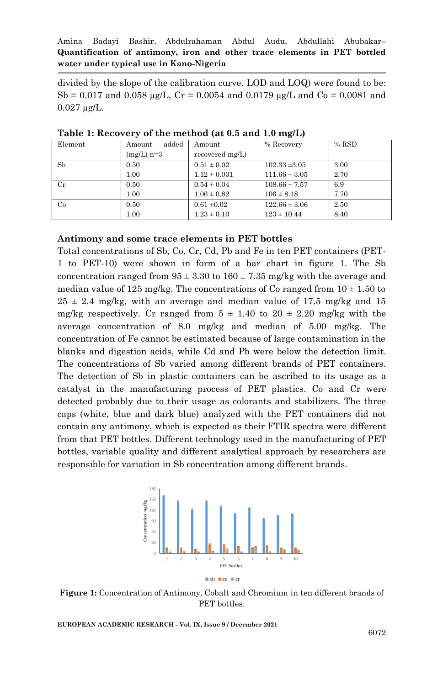divided by the slope of the calibration curve. LOD and LOQ) were found to be:  $Sb = 0.017$  and 0.058  $\mu$ g/L, Cr = 0.0054 and 0.0179  $\mu$ g/L and Co = 0.0081 and 0.027 µg/L.

| Element     | added<br>Amount | Amount           | % Recovery        | $%$ RSD |
|-------------|-----------------|------------------|-------------------|---------|
|             | $(mg/L)$ n=3    | recovered mg/L)  |                   |         |
| Sb          | 0.50            | $0.51 \pm 0.02$  | $102.33 \pm 3.05$ | 3.00    |
|             | 1.00            | $1.12 \pm 0.031$ | $111.66 \pm 3.05$ | 2.70    |
| $_{\rm Cr}$ | 0.50            | $0.54 \pm 0.04$  | $108.66 \pm 7.57$ | 6.9     |
|             | 1.00            | $1.06 \pm 0.82$  | $106 \pm 8.18$    | 7.70    |
| Co          | 0.50            | $0.61 \pm 0.02$  | $122.66 \pm 3.06$ | 2.50    |
|             | 1.00            | $1.23 \pm 0.10$  | $123 \pm 10.44$   | 8.40    |

**Table 1: Recovery of the method (at 0.5 and 1.0 mg/L)**

#### **Antimony and some trace elements in PET bottles**

Total concentrations of Sb, Co, Cr, Cd, Pb and Fe in ten PET containers (PET-1 to PET-10) were shown in form of a bar chart in figure 1. The Sb concentration ranged from  $95 \pm 3.30$  to  $160 \pm 7.35$  mg/kg with the average and median value of 125 mg/kg. The concentrations of Co ranged from  $10 \pm 1.50$  to  $25 \pm 2.4$  mg/kg, with an average and median value of 17.5 mg/kg and 15 mg/kg respectively. Cr ranged from  $5 \pm 1.40$  to  $20 \pm 2.20$  mg/kg with the average concentration of 8.0 mg/kg and median of 5.00 mg/kg. The concentration of Fe cannot be estimated because of large contamination in the blanks and digestion acids, while Cd and Pb were below the detection limit. The concentrations of Sb varied among different brands of PET containers. The detection of Sb in plastic containers can be ascribed to its usage as a catalyst in the manufacturing process of PET plastics. Co and Cr were detected probably due to their usage as colorants and stabilizers. The three caps (white, blue and dark blue) analyzed with the PET containers did not contain any antimony, which is expected as their FTIR spectra were different from that PET bottles. Different technology used in the manufacturing of PET bottles, variable quality and different analytical approach by researchers are responsible for variation in Sb concentration among different brands.



**Figure 1:** Concentration of Antimony, Cobalt and Chromium in ten different brands of PET bottles.

**EUROPEAN ACADEMIC RESEARCH - Vol. IX, Issue 9 / December 2021**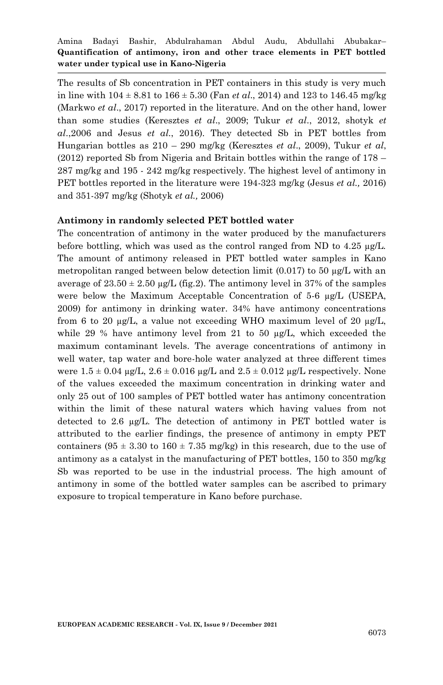The results of Sb concentration in PET containers in this study is very much in line with  $104 \pm 8.81$  to  $166 \pm 5.30$  (Fan *et al.*, 2014) and 123 to 146.45 mg/kg (Markwo *et al*., 2017) reported in the literature. And on the other hand, lower than some studies (Keresztes *et al*., 2009; Tukur *et al*., 2012, shotyk *et al*.,2006 and Jesus *et al*., 2016). They detected Sb in PET bottles from Hungarian bottles as 210 – 290 mg/kg (Keresztes *et al*., 2009), Tukur *et al*, (2012) reported Sb from Nigeria and Britain bottles within the range of 178 – 287 mg/kg and 195 - 242 mg/kg respectively. The highest level of antimony in PET bottles reported in the literature were 194-323 mg/kg (Jesus *et al.,* 2016) and 351-397 mg/kg (Shotyk *et al.,* 2006)

#### **Antimony in randomly selected PET bottled water**

The concentration of antimony in the water produced by the manufacturers before bottling, which was used as the control ranged from ND to  $4.25 \mu g/L$ . The amount of antimony released in PET bottled water samples in Kano metropolitan ranged between below detection limit (0.017) to 50  $\mu$ g/L with an average of  $23.50 \pm 2.50$  µg/L (fig.2). The antimony level in 37% of the samples were below the Maximum Acceptable Concentration of 5-6 µg/L (USEPA, 2009) for antimony in drinking water. 34% have antimony concentrations from 6 to 20  $\mu$ g/L, a value not exceeding WHO maximum level of 20  $\mu$ g/L, while 29 % have antimony level from 21 to 50 µg/L, which exceeded the maximum contaminant levels. The average concentrations of antimony in well water, tap water and bore-hole water analyzed at three different times were  $1.5 \pm 0.04$  µg/L,  $2.6 \pm 0.016$  µg/L and  $2.5 \pm 0.012$  µg/L respectively. None of the values exceeded the maximum concentration in drinking water and only 25 out of 100 samples of PET bottled water has antimony concentration within the limit of these natural waters which having values from not detected to 2.6 µg/L. The detection of antimony in PET bottled water is attributed to the earlier findings, the presence of antimony in empty PET containers ( $95 \pm 3.30$  to  $160 \pm 7.35$  mg/kg) in this research, due to the use of antimony as a catalyst in the manufacturing of PET bottles, 150 to 350 mg/kg Sb was reported to be use in the industrial process. The high amount of antimony in some of the bottled water samples can be ascribed to primary exposure to tropical temperature in Kano before purchase.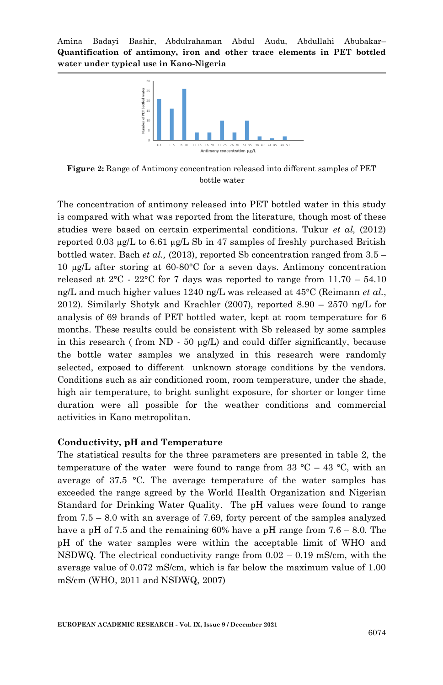

**Figure 2:** Range of Antimony concentration released into different samples of PET bottle water

The concentration of antimony released into PET bottled water in this study is compared with what was reported from the literature, though most of these studies were based on certain experimental conditions. Tukur *et al,* (2012) reported 0.03  $\mu$ g/L to 6.61  $\mu$ g/L Sb in 47 samples of freshly purchased British bottled water. Bach *et al.,* (2013), reported Sb concentration ranged from 3.5 – 10 µg/L after storing at 60-80°C for a seven days. Antimony concentration released at  $2^{\circ}\text{C}$  -  $22^{\circ}\text{C}$  for 7 days was reported to range from  $11.70 - 54.10$ ng/L and much higher values 1240 ng/L was released at 45°C (Reimann *et al.*, 2012). Similarly Shotyk and Krachler (2007), reported 8.90 – 2570 ng/L for analysis of 69 brands of PET bottled water, kept at room temperature for 6 months. These results could be consistent with Sb released by some samples in this research ( from ND - 50 µg/L) and could differ significantly, because the bottle water samples we analyzed in this research were randomly selected, exposed to different unknown storage conditions by the vendors. Conditions such as air conditioned room, room temperature, under the shade, high air temperature, to bright sunlight exposure, for shorter or longer time duration were all possible for the weather conditions and commercial activities in Kano metropolitan.

#### **Conductivity, pH and Temperature**

The statistical results for the three parameters are presented in table 2, the temperature of the water were found to range from 33  $^{\circ}$ C – 43  $^{\circ}$ C, with an average of 37.5 °C. The average temperature of the water samples has exceeded the range agreed by the World Health Organization and Nigerian Standard for Drinking Water Quality. The pH values were found to range from 7.5 – 8.0 with an average of 7.69, forty percent of the samples analyzed have a pH of 7.5 and the remaining  $60\%$  have a pH range from  $7.6 - 8.0$ . The pH of the water samples were within the acceptable limit of WHO and NSDWQ. The electrical conductivity range from  $0.02 - 0.19$  mS/cm, with the average value of 0.072 mS/cm, which is far below the maximum value of 1.00 mS/cm (WHO, 2011 and NSDWQ, 2007)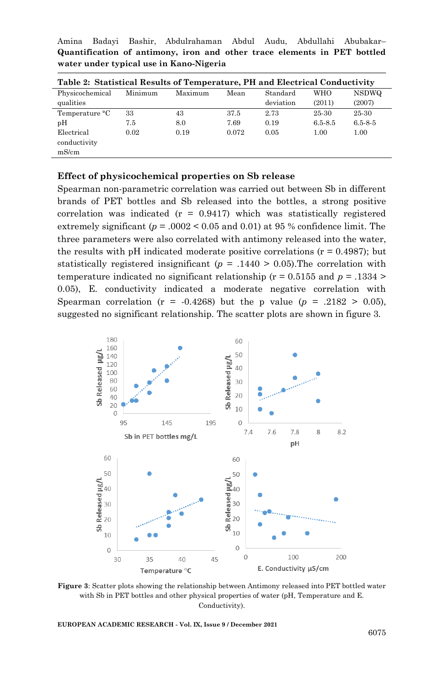Amina Badayi Bashir, Abdulrahaman Abdul Audu, Abdullahi Abubakar– **Quantification of antimony, iron and other trace elements in PET bottled water under typical use in Kano-Nigeria**

| Table 2: Statistical Results of Temperature, PH and Electrical Conductivity |         |         |       |           |            |               |  |  |
|-----------------------------------------------------------------------------|---------|---------|-------|-----------|------------|---------------|--|--|
| Physicochemical                                                             | Minimum | Maximum | Mean  | Standard  | <b>WHO</b> | <b>NSDWQ</b>  |  |  |
| qualities                                                                   |         |         |       | deviation | (2011)     | (2007)        |  |  |
| Temperature °C                                                              | 33      | 43      | 37.5  | 2.73      | 25-30      | 25-30         |  |  |
| рH                                                                          | 7.5     | 8.0     | 7.69  | 0.19      | 6.5-8.5    | $6.5 - 8 - 5$ |  |  |
| Electrical                                                                  | 0.02    | 0.19    | 0.072 | 0.05      | 1.00       | 1.00          |  |  |
| conductivity                                                                |         |         |       |           |            |               |  |  |
| mS/cm                                                                       |         |         |       |           |            |               |  |  |

#### **Effect of physicochemical properties on Sb release**

Spearman non-parametric correlation was carried out between Sb in different brands of PET bottles and Sb released into the bottles, a strong positive correlation was indicated  $(r = 0.9417)$  which was statistically registered extremely significant ( $p = .0002 \le 0.05$  and 0.01) at 95 % confidence limit. The three parameters were also correlated with antimony released into the water, the results with pH indicated moderate positive correlations ( $r = 0.4987$ ); but statistically registered insignificant ( $p = .1440 > 0.05$ ). The correlation with temperature indicated no significant relationship ( $r = 0.5155$  and  $p = .1334$ ) 0.05), E. conductivity indicated a moderate negative correlation with Spearman correlation ( $r = -0.4268$ ) but the p value ( $p = .2182 > 0.05$ ), suggested no significant relationship. The scatter plots are shown in figure 3.



**Figure 3**: Scatter plots showing the relationship between Antimony released into PET bottled water with Sb in PET bottles and other physical properties of water (pH, Temperature and E. Conductivity).

**EUROPEAN ACADEMIC RESEARCH - Vol. IX, Issue 9 / December 2021**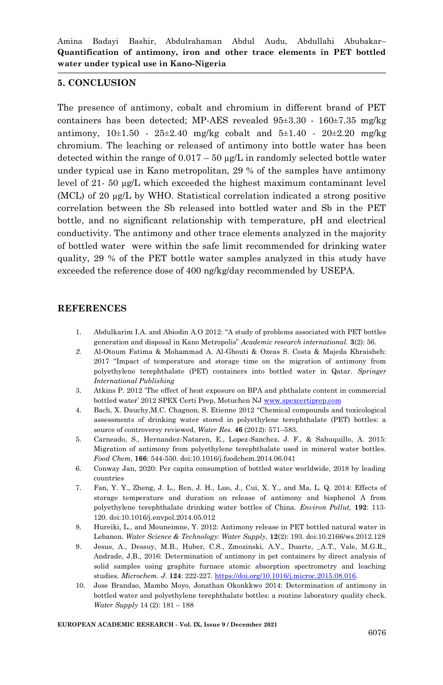#### **5. CONCLUSION**

The presence of antimony, cobalt and chromium in different brand of PET containers has been detected; MP-AES revealed  $95\pm3.30$  -  $160\pm7.35$  mg/kg antimony,  $10\pm1.50$  -  $25\pm2.40$  mg/kg cobalt and  $5\pm1.40$  -  $20\pm2.20$  mg/kg chromium. The leaching or released of antimony into bottle water has been detected within the range of  $0.017 - 50 \mu g/L$  in randomly selected bottle water under typical use in Kano metropolitan, 29 % of the samples have antimony level of 21- 50 µg/L which exceeded the highest maximum contaminant level (MCL) of 20 µg/L by WHO. Statistical correlation indicated a strong positive correlation between the Sb released into bottled water and Sb in the PET bottle, and no significant relationship with temperature, pH and electrical conductivity. The antimony and other trace elements analyzed in the majority of bottled water were within the safe limit recommended for drinking water quality, 29 % of the PET bottle water samples analyzed in this study have exceeded the reference dose of 400 ng/kg/day recommended by USEPA.

#### **REFERENCES**

- 1. Abdulkarim I.A. and Abiodin A.O 2012: "A study of problems associated with PET bottles generation and disposal in Kano Metropolis" *Academic research international.* **3**(2): 56.
- *2.* Al-Otoum Fatima & Mohammad A. Al-Ghouti & Ozeas S. Costa & Majeda Khraisheh: 2017 "Impact of temperature and storage time on the migration of antimony from polyethylene terephthalate (PET) containers into bottled water in Qatar. *Springer International Publishing*
- 3. Atkins P. 2012 "The effect of heat exposure on BPA and phthalate content in commercial bottled water" 2012 SPEX Certi Prep, Metuchen NJ [www.spexcertiprep.com](http://www.spexcertiprep.com/)
- 4. Bach, X. Dauchy,M.C. Chagnon, S. Etienne 2012 "Chemical compounds and toxicological assessments of drinking water stored in polyethylene terephthalate (PET) bottles: a source of controversy reviewed, *Water Res.* **46** (2012): 571–583.
- 5. Carneado, S., Hernandez-Nataren, E., Lopez-Sanchez, J. F., & Sahuquillo, A. 2015: Migration of antimony from polyethylene terephthalate used in mineral water bottles. *Food Chem,* **166**: 544-550. doi:10.1016/j.foodchem.2014.06.041
- 6. Conway Jan, 2020: Per capita consumption of bottled water worldwide, 2018 by leading countries
- 7. Fan, Y. Y., Zheng, J. L., Ren, J. H., Luo, J., Cui, X. Y., and Ma, L. Q. 2014: Effects of storage temperature and duration on release of antimony and bisphenol A from polyethylene terephthalate drinking water bottles of China. *Environ Pollut,* **192**: 113- 120. doi:10.1016/j.envpol.2014.05.012
- 8. Hureiki, L., and Mouneimne, Y. 2012: Antimony release in PET bottled natural water in Lebanon. *Water Science & Technology: Water Supply,* **12**(2): 193. doi:10.2166/ws.2012.128
- 9. Jesus, A., Dessuy, M.B., Huber, C.S., Zmozinski, A.V., Duarte, \_A.T., Vale, M.G.R., Andrade, J.B., 2016: Determination of antimony in pet containers by direct analysis of solid samples using graphite furnace atomic absorption spectrometry and leaching studies. *Microchem. J*. **124**: 222-227. [https://doi.org/10.1016/j.microc.2015.08.016.](https://doi.org/10.1016/j.microc.2015.08.016)
- 10. Jose Brandao, Mambo Moyo, Jonathan Okonkkwo 2014: Determination of antimony in bottled water and polyethylene terephthalate bottles: a routine laboratory quality check. *Water Supply* 14 (2): 181 – 188